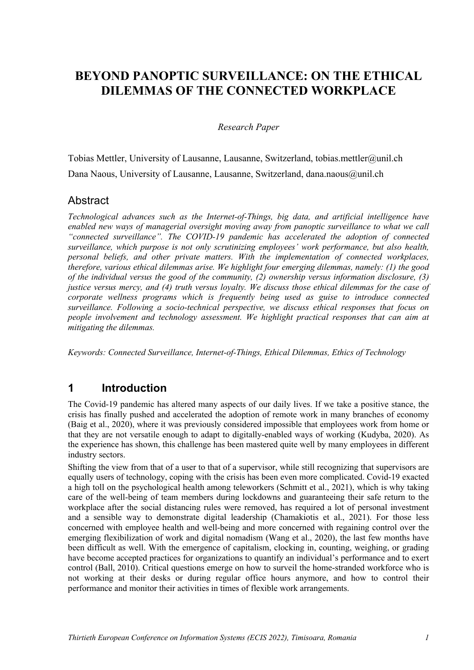# **BEYOND PANOPTIC SURVEILLANCE: ON THE ETHICAL DILEMMAS OF THE CONNECTED WORKPLACE**

#### *Research Paper*

Tobias Mettler, University of Lausanne, Lausanne, Switzerland, tobias.mettler@unil.ch Dana Naous, University of Lausanne, Lausanne, Switzerland, dana.naous@unil.ch

### Abstract

*Technological advances such as the Internet-of-Things, big data, and artificial intelligence have enabled new ways of managerial oversight moving away from panoptic surveillance to what we call "connected surveillance". The COVID-19 pandemic has accelerated the adoption of connected surveillance, which purpose is not only scrutinizing employees' work performance, but also health, personal beliefs, and other private matters. With the implementation of connected workplaces, therefore, various ethical dilemmas arise. We highlight four emerging dilemmas, namely: (1) the good of the individual versus the good of the community, (2) ownership versus information disclosure, (3) justice versus mercy, and (4) truth versus loyalty. We discuss those ethical dilemmas for the case of corporate wellness programs which is frequently being used as guise to introduce connected surveillance. Following a socio-technical perspective, we discuss ethical responses that focus on people involvement and technology assessment. We highlight practical responses that can aim at mitigating the dilemmas.*

*Keywords: Connected Surveillance, Internet-of-Things, Ethical Dilemmas, Ethics of Technology*

### **1 Introduction**

The Covid-19 pandemic has altered many aspects of our daily lives. If we take a positive stance, the crisis has finally pushed and accelerated the adoption of remote work in many branches of economy (Baig et al., 2020), where it was previously considered impossible that employees work from home or that they are not versatile enough to adapt to digitally-enabled ways of working (Kudyba, 2020). As the experience has shown, this challenge has been mastered quite well by many employees in different industry sectors.

Shifting the view from that of a user to that of a supervisor, while still recognizing that supervisors are equally users of technology, coping with the crisis has been even more complicated. Covid-19 exacted a high toll on the psychological health among teleworkers (Schmitt et al., 2021), which is why taking care of the well-being of team members during lockdowns and guaranteeing their safe return to the workplace after the social distancing rules were removed, has required a lot of personal investment and a sensible way to demonstrate digital leadership (Chamakiotis et al., 2021). For those less concerned with employee health and well-being and more concerned with regaining control over the emerging flexibilization of work and digital nomadism (Wang et al., 2020), the last few months have been difficult as well. With the emergence of capitalism, clocking in, counting, weighing, or grading have become accepted practices for organizations to quantify an individual's performance and to exert control (Ball, 2010). Critical questions emerge on how to surveil the home-stranded workforce who is not working at their desks or during regular office hours anymore, and how to control their performance and monitor their activities in times of flexible work arrangements.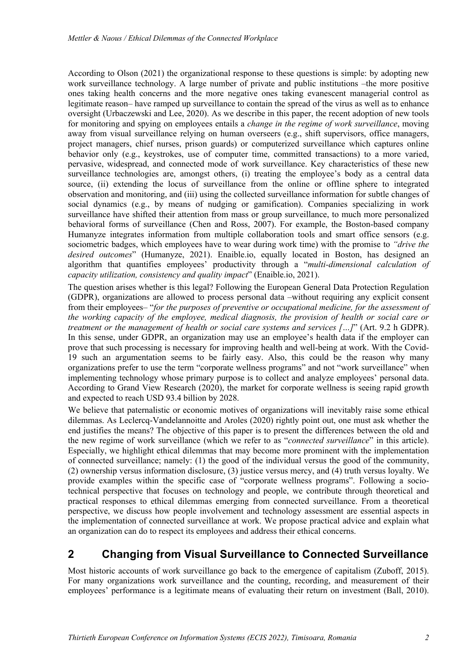According to Olson (2021) the organizational response to these questions is simple: by adopting new work surveillance technology. A large number of private and public institutions –the more positive ones taking health concerns and the more negative ones taking evanescent managerial control as legitimate reason– have ramped up surveillance to contain the spread of the virus as well as to enhance oversight (Urbaczewski and Lee, 2020). As we describe in this paper, the recent adoption of new tools for monitoring and spying on employees entails a *change in the regime of work surveillance*, moving away from visual surveillance relying on human overseers (e.g., shift supervisors, office managers, project managers, chief nurses, prison guards) or computerized surveillance which captures online behavior only (e.g., keystrokes, use of computer time, committed transactions) to a more varied, pervasive, widespread, and connected mode of work surveillance. Key characteristics of these new surveillance technologies are, amongst others, (i) treating the employee's body as a central data source, (ii) extending the locus of surveillance from the online or offline sphere to integrated observation and monitoring, and (iii) using the collected surveillance information for subtle changes of social dynamics (e.g., by means of nudging or gamification). Companies specializing in work surveillance have shifted their attention from mass or group surveillance, to much more personalized behavioral forms of surveillance (Chen and Ross, 2007). For example, the Boston-based company Humanyze integrates information from multiple collaboration tools and smart office sensors (e.g. sociometric badges, which employees have to wear during work time) with the promise to *"drive the desired outcomes*" (Humanyze, 2021). Enaible.io, equally located in Boston, has designed an algorithm that quantifies employees' productivity through a "*multi-dimensional calculation of capacity utilization, consistency and quality impact*" (Enaible.io, 2021).

The question arises whether is this legal? Following the European General Data Protection Regulation (GDPR), organizations are allowed to process personal data –without requiring any explicit consent from their employees– "*for the purposes of preventive or occupational medicine, for the assessment of the working capacity of the employee, medical diagnosis, the provision of health or social care or treatment or the management of health or social care systems and services […]*" (Art. 9.2 h GDPR). In this sense, under GDPR, an organization may use an employee's health data if the employer can prove that such processing is necessary for improving health and well-being at work. With the Covid-19 such an argumentation seems to be fairly easy. Also, this could be the reason why many organizations prefer to use the term "corporate wellness programs" and not "work surveillance" when implementing technology whose primary purpose is to collect and analyze employees' personal data. According to Grand View Research (2020), the market for corporate wellness is seeing rapid growth and expected to reach USD 93.4 billion by 2028.

We believe that paternalistic or economic motives of organizations will inevitably raise some ethical dilemmas. As Leclercq-Vandelannoitte and Aroles (2020) rightly point out, one must ask whether the end justifies the means? The objective of this paper is to present the differences between the old and the new regime of work surveillance (which we refer to as "*connected surveillance*" in this article). Especially, we highlight ethical dilemmas that may become more prominent with the implementation of connected surveillance; namely: (1) the good of the individual versus the good of the community, (2) ownership versus information disclosure, (3) justice versus mercy, and (4) truth versus loyalty. We provide examples within the specific case of "corporate wellness programs". Following a sociotechnical perspective that focuses on technology and people, we contribute through theoretical and practical responses to ethical dilemmas emerging from connected surveillance. From a theoretical perspective, we discuss how people involvement and technology assessment are essential aspects in the implementation of connected surveillance at work. We propose practical advice and explain what an organization can do to respect its employees and address their ethical concerns.

## **2 Changing from Visual Surveillance to Connected Surveillance**

Most historic accounts of work surveillance go back to the emergence of capitalism (Zuboff, 2015). For many organizations work surveillance and the counting, recording, and measurement of their employees' performance is a legitimate means of evaluating their return on investment (Ball, 2010).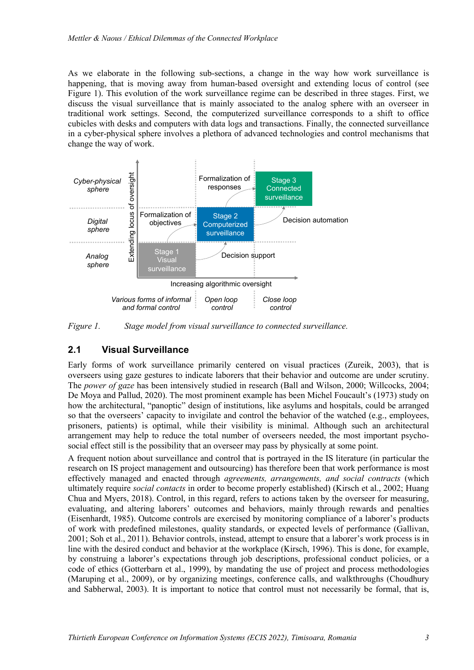As we elaborate in the following sub-sections, a change in the way how work surveillance is happening, that is moving away from human-based oversight and extending locus of control (see Figure 1). This evolution of the work surveillance regime can be described in three stages. First, we discuss the visual surveillance that is mainly associated to the analog sphere with an overseer in traditional work settings. Second, the computerized surveillance corresponds to a shift to office cubicles with desks and computers with data logs and transactions. Finally, the connected surveillance in a cyber-physical sphere involves a plethora of advanced technologies and control mechanisms that change the way of work.



*Figure 1. Stage model from visual surveillance to connected surveillance.*

#### **2.1 Visual Surveillance**

Early forms of work surveillance primarily centered on visual practices (Zureik, 2003), that is overseers using gaze gestures to indicate laborers that their behavior and outcome are under scrutiny. The *power of gaze* has been intensively studied in research (Ball and Wilson, 2000; Willcocks, 2004; De Moya and Pallud, 2020). The most prominent example has been Michel Foucault's (1973) study on how the architectural, "panoptic" design of institutions, like asylums and hospitals, could be arranged so that the overseers' capacity to invigilate and control the behavior of the watched (e.g., employees, prisoners, patients) is optimal, while their visibility is minimal. Although such an architectural arrangement may help to reduce the total number of overseers needed, the most important psychosocial effect still is the possibility that an overseer may pass by physically at some point.

A frequent notion about surveillance and control that is portrayed in the IS literature (in particular the research on IS project management and outsourcing) has therefore been that work performance is most effectively managed and enacted through *agreements, arrangements, and social contracts* (which ultimately require *social contacts* in order to become properly established) (Kirsch et al., 2002; Huang Chua and Myers, 2018). Control, in this regard, refers to actions taken by the overseer for measuring, evaluating, and altering laborers' outcomes and behaviors, mainly through rewards and penalties (Eisenhardt, 1985). Outcome controls are exercised by monitoring compliance of a laborer's products of work with predefined milestones, quality standards, or expected levels of performance (Gallivan, 2001; Soh et al., 2011). Behavior controls, instead, attempt to ensure that a laborer's work process is in line with the desired conduct and behavior at the workplace (Kirsch, 1996). This is done, for example, by construing a laborer's expectations through job descriptions, professional conduct policies, or a code of ethics (Gotterbarn et al., 1999), by mandating the use of project and process methodologies (Maruping et al., 2009), or by organizing meetings, conference calls, and walkthroughs (Choudhury and Sabherwal, 2003). It is important to notice that control must not necessarily be formal, that is,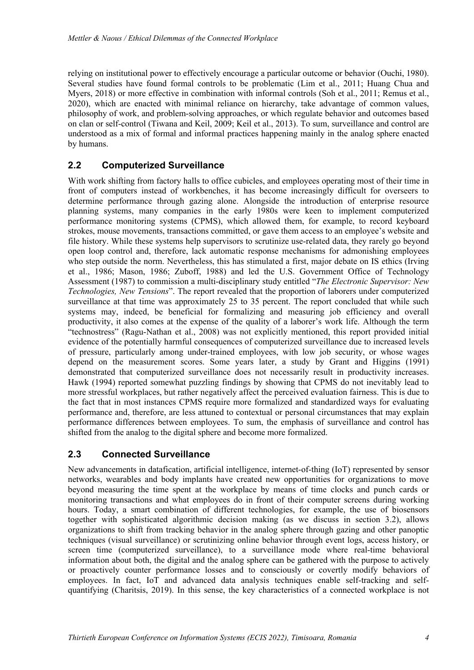relying on institutional power to effectively encourage a particular outcome or behavior (Ouchi, 1980). Several studies have found formal controls to be problematic (Lim et al., 2011; Huang Chua and Myers, 2018) or more effective in combination with informal controls (Soh et al., 2011; Remus et al., 2020), which are enacted with minimal reliance on hierarchy, take advantage of common values, philosophy of work, and problem-solving approaches, or which regulate behavior and outcomes based on clan or self-control (Tiwana and Keil, 2009; Keil et al., 2013). To sum, surveillance and control are understood as a mix of formal and informal practices happening mainly in the analog sphere enacted by humans.

### **2.2 Computerized Surveillance**

With work shifting from factory halls to office cubicles, and employees operating most of their time in front of computers instead of workbenches, it has become increasingly difficult for overseers to determine performance through gazing alone. Alongside the introduction of enterprise resource planning systems, many companies in the early 1980s were keen to implement computerized performance monitoring systems (CPMS), which allowed them, for example, to record keyboard strokes, mouse movements, transactions committed, or gave them access to an employee's website and file history. While these systems help supervisors to scrutinize use-related data, they rarely go beyond open loop control and, therefore, lack automatic response mechanisms for admonishing employees who step outside the norm. Nevertheless, this has stimulated a first, major debate on IS ethics (Irving et al., 1986; Mason, 1986; Zuboff, 1988) and led the U.S. Government Office of Technology Assessment (1987) to commission a multi-disciplinary study entitled "*The Electronic Supervisor: New Technologies, New Tensions*". The report revealed that the proportion of laborers under computerized surveillance at that time was approximately 25 to 35 percent. The report concluded that while such systems may, indeed, be beneficial for formalizing and measuring job efficiency and overall productivity, it also comes at the expense of the quality of a laborer's work life. Although the term "technostress" (Ragu-Nathan et al., 2008) was not explicitly mentioned, this report provided initial evidence of the potentially harmful consequences of computerized surveillance due to increased levels of pressure, particularly among under-trained employees, with low job security, or whose wages depend on the measurement scores. Some years later, a study by Grant and Higgins (1991) demonstrated that computerized surveillance does not necessarily result in productivity increases. Hawk (1994) reported somewhat puzzling findings by showing that CPMS do not inevitably lead to more stressful workplaces, but rather negatively affect the perceived evaluation fairness. This is due to the fact that in most instances CPMS require more formalized and standardized ways for evaluating performance and, therefore, are less attuned to contextual or personal circumstances that may explain performance differences between employees. To sum, the emphasis of surveillance and control has shifted from the analog to the digital sphere and become more formalized.

### **2.3 Connected Surveillance**

New advancements in datafication, artificial intelligence, internet-of-thing (IoT) represented by sensor networks, wearables and body implants have created new opportunities for organizations to move beyond measuring the time spent at the workplace by means of time clocks and punch cards or monitoring transactions and what employees do in front of their computer screens during working hours. Today, a smart combination of different technologies, for example, the use of biosensors together with sophisticated algorithmic decision making (as we discuss in section 3.2), allows organizations to shift from tracking behavior in the analog sphere through gazing and other panoptic techniques (visual surveillance) or scrutinizing online behavior through event logs, access history, or screen time (computerized surveillance), to a surveillance mode where real-time behavioral information about both, the digital and the analog sphere can be gathered with the purpose to actively or proactively counter performance losses and to consciously or covertly modify behaviors of employees. In fact, IoT and advanced data analysis techniques enable self-tracking and selfquantifying (Charitsis, 2019). In this sense, the key characteristics of a connected workplace is not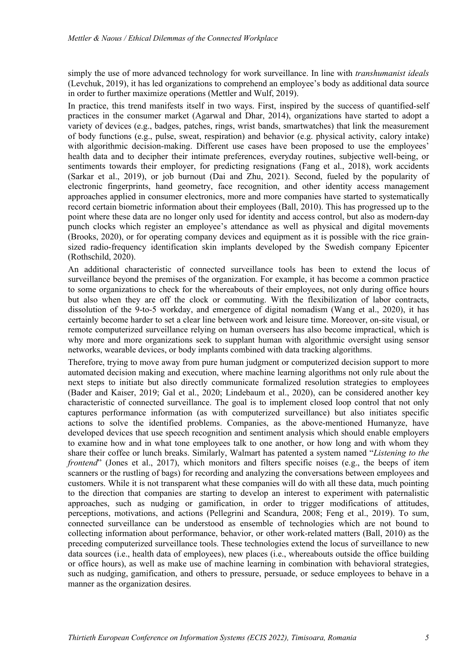simply the use of more advanced technology for work surveillance. In line with *transhumanist ideals* (Levchuk, 2019), it has led organizations to comprehend an employee's body as additional data source in order to further maximize operations (Mettler and Wulf, 2019).

In practice, this trend manifests itself in two ways. First, inspired by the success of quantified-self practices in the consumer market (Agarwal and Dhar, 2014), organizations have started to adopt a variety of devices (e.g., badges, patches, rings, wrist bands, smartwatches) that link the measurement of body functions (e.g., pulse, sweat, respiration) and behavior (e.g. physical activity, calory intake) with algorithmic decision-making. Different use cases have been proposed to use the employees' health data and to decipher their intimate preferences, everyday routines, subjective well-being, or sentiments towards their employer, for predicting resignations (Fang et al., 2018), work accidents (Sarkar et al., 2019), or job burnout (Dai and Zhu, 2021). Second, fueled by the popularity of electronic fingerprints, hand geometry, face recognition, and other identity access management approaches applied in consumer electronics, more and more companies have started to systematically record certain biometric information about their employees (Ball, 2010). This has progressed up to the point where these data are no longer only used for identity and access control, but also as modern-day punch clocks which register an employee's attendance as well as physical and digital movements (Brooks, 2020), or for operating company devices and equipment as it is possible with the rice grainsized radio-frequency identification skin implants developed by the Swedish company Epicenter (Rothschild, 2020).

An additional characteristic of connected surveillance tools has been to extend the locus of surveillance beyond the premises of the organization. For example, it has become a common practice to some organizations to check for the whereabouts of their employees, not only during office hours but also when they are off the clock or commuting. With the flexibilization of labor contracts, dissolution of the 9-to-5 workday, and emergence of digital nomadism (Wang et al., 2020), it has certainly become harder to set a clear line between work and leisure time. Moreover, on-site visual, or remote computerized surveillance relying on human overseers has also become impractical, which is why more and more organizations seek to supplant human with algorithmic oversight using sensor networks, wearable devices, or body implants combined with data tracking algorithms.

Therefore, trying to move away from pure human judgment or computerized decision support to more automated decision making and execution, where machine learning algorithms not only rule about the next steps to initiate but also directly communicate formalized resolution strategies to employees (Bader and Kaiser, 2019; Gal et al., 2020; Lindebaum et al., 2020), can be considered another key characteristic of connected surveillance. The goal is to implement closed loop control that not only captures performance information (as with computerized surveillance) but also initiates specific actions to solve the identified problems. Companies, as the above-mentioned Humanyze, have developed devices that use speech recognition and sentiment analysis which should enable employers to examine how and in what tone employees talk to one another, or how long and with whom they share their coffee or lunch breaks. Similarly, Walmart has patented a system named "*Listening to the frontend*" (Jones et al., 2017), which monitors and filters specific noises (e.g., the beeps of item scanners or the rustling of bags) for recording and analyzing the conversations between employees and customers. While it is not transparent what these companies will do with all these data, much pointing to the direction that companies are starting to develop an interest to experiment with paternalistic approaches, such as nudging or gamification, in order to trigger modifications of attitudes, perceptions, motivations, and actions (Pellegrini and Scandura, 2008; Feng et al., 2019). To sum, connected surveillance can be understood as ensemble of technologies which are not bound to collecting information about performance, behavior, or other work-related matters (Ball, 2010) as the preceding computerized surveillance tools. These technologies extend the locus of surveillance to new data sources (i.e., health data of employees), new places (i.e., whereabouts outside the office building or office hours), as well as make use of machine learning in combination with behavioral strategies, such as nudging, gamification, and others to pressure, persuade, or seduce employees to behave in a manner as the organization desires.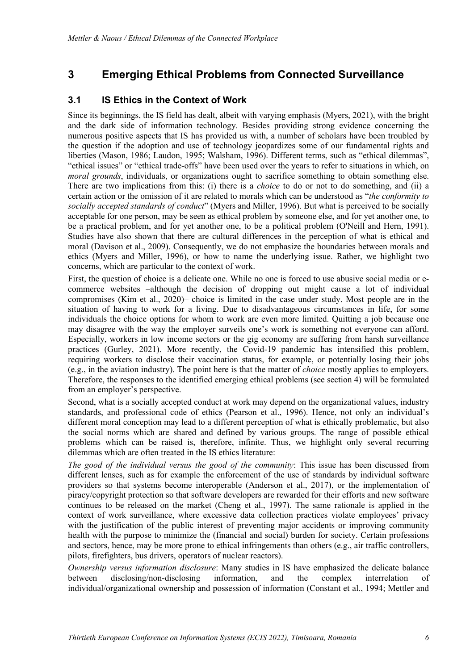## **3 Emerging Ethical Problems from Connected Surveillance**

#### **3.1 IS Ethics in the Context of Work**

Since its beginnings, the IS field has dealt, albeit with varying emphasis (Myers, 2021), with the bright and the dark side of information technology. Besides providing strong evidence concerning the numerous positive aspects that IS has provided us with, a number of scholars have been troubled by the question if the adoption and use of technology jeopardizes some of our fundamental rights and liberties (Mason, 1986; Laudon, 1995; Walsham, 1996). Different terms, such as "ethical dilemmas", "ethical issues" or "ethical trade-offs" have been used over the years to refer to situations in which, on *moral grounds*, individuals, or organizations ought to sacrifice something to obtain something else. There are two implications from this: (i) there is a *choice* to do or not to do something, and (ii) a certain action or the omission of it are related to morals which can be understood as "*the conformity to socially accepted standards of conduct*" (Myers and Miller, 1996). But what is perceived to be socially acceptable for one person, may be seen as ethical problem by someone else, and for yet another one, to be a practical problem, and for yet another one, to be a political problem (O'Neill and Hern, 1991). Studies have also shown that there are cultural differences in the perception of what is ethical and moral (Davison et al., 2009). Consequently, we do not emphasize the boundaries between morals and ethics (Myers and Miller, 1996), or how to name the underlying issue. Rather, we highlight two concerns, which are particular to the context of work.

First, the question of choice is a delicate one. While no one is forced to use abusive social media or ecommerce websites –although the decision of dropping out might cause a lot of individual compromises (Kim et al., 2020)– choice is limited in the case under study. Most people are in the situation of having to work for a living. Due to disadvantageous circumstances in life, for some individuals the choice options for whom to work are even more limited. Quitting a job because one may disagree with the way the employer surveils one's work is something not everyone can afford. Especially, workers in low income sectors or the gig economy are suffering from harsh surveillance practices (Gurley, 2021). More recently, the Covid-19 pandemic has intensified this problem, requiring workers to disclose their vaccination status, for example, or potentially losing their jobs (e.g., in the aviation industry). The point here is that the matter of *choice* mostly applies to employers. Therefore, the responses to the identified emerging ethical problems (see section 4) will be formulated from an employer's perspective.

Second, what is a socially accepted conduct at work may depend on the organizational values, industry standards, and professional code of ethics (Pearson et al., 1996). Hence, not only an individual's different moral conception may lead to a different perception of what is ethically problematic, but also the social norms which are shared and defined by various groups. The range of possible ethical problems which can be raised is, therefore, infinite. Thus, we highlight only several recurring dilemmas which are often treated in the IS ethics literature:

*The good of the individual versus the good of the community*: This issue has been discussed from different lenses, such as for example the enforcement of the use of standards by individual software providers so that systems become interoperable (Anderson et al., 2017), or the implementation of piracy/copyright protection so that software developers are rewarded for their efforts and new software continues to be released on the market (Cheng et al., 1997). The same rationale is applied in the context of work surveillance, where excessive data collection practices violate employees' privacy with the justification of the public interest of preventing major accidents or improving community health with the purpose to minimize the (financial and social) burden for society. Certain professions and sectors, hence, may be more prone to ethical infringements than others (e.g., air traffic controllers, pilots, firefighters, bus drivers, operators of nuclear reactors).

*Ownership versus information disclosure*: Many studies in IS have emphasized the delicate balance between disclosing/non-disclosing information, and the complex interrelation of individual/organizational ownership and possession of information (Constant et al., 1994; Mettler and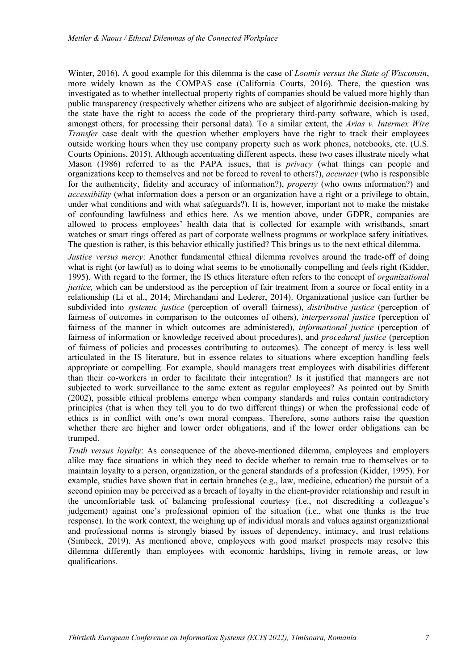Winter, 2016). A good example for this dilemma is the case of *Loomis versus the State of Wisconsin*, more widely known as the COMPAS case (California Courts, 2016). There, the question was investigated as to whether intellectual property rights of companies should be valued more highly than public transparency (respectively whether citizens who are subject of algorithmic decision-making by the state have the right to access the code of the proprietary third-party software, which is used, amongst others, for processing their personal data). To a similar extent, the *Arias v. Intermex Wire Transfer* case dealt with the question whether employers have the right to track their employees outside working hours when they use company property such as work phones, notebooks, etc. (U.S. Courts Opinions, 2015). Although accentuating different aspects, these two cases illustrate nicely what Mason (1986) referred to as the PAPA issues, that is *privacy* (what things can people and organizations keep to themselves and not be forced to reveal to others?), *accuracy* (who is responsible for the authenticity, fidelity and accuracy of information?), *property* (who owns information?) and *accessibility* (what information does a person or an organization have a right or a privilege to obtain, under what conditions and with what safeguards?). It is, however, important not to make the mistake of confounding lawfulness and ethics here. As we mention above, under GDPR, companies are allowed to process employees' health data that is collected for example with wristbands, smart watches or smart rings offered as part of corporate wellness programs or workplace safety initiatives. The question is rather, is this behavior ethically justified? This brings us to the next ethical dilemma.

*Justice versus mercy*: Another fundamental ethical dilemma revolves around the trade-off of doing what is right (or lawful) as to doing what seems to be emotionally compelling and feels right (Kidder, 1995). With regard to the former, the IS ethics literature often refers to the concept of *organizational justice*, which can be understood as the perception of fair treatment from a source or focal entity in a relationship (Li et al., 2014; Mirchandani and Lederer, 2014). Organizational justice can further be subdivided into *systemic justice* (perception of overall fairness), *distributive justice* (perception of fairness of outcomes in comparison to the outcomes of others), *interpersonal justice* (perception of fairness of the manner in which outcomes are administered), *informational justice* (perception of fairness of information or knowledge received about procedures), and *procedural justice* (perception of fairness of policies and processes contributing to outcomes). The concept of mercy is less well articulated in the IS literature, but in essence relates to situations where exception handling feels appropriate or compelling. For example, should managers treat employees with disabilities different than their co-workers in order to facilitate their integration? Is it justified that managers are not subjected to work surveillance to the same extent as regular employees? As pointed out by Smith (2002), possible ethical problems emerge when company standards and rules contain contradictory principles (that is when they tell you to do two different things) or when the professional code of ethics is in conflict with one's own moral compass. Therefore, some authors raise the question whether there are higher and lower order obligations, and if the lower order obligations can be trumped.

*Truth versus loyalty*: As consequence of the above-mentioned dilemma, employees and employers alike may face situations in which they need to decide whether to remain true to themselves or to maintain loyalty to a person, organization, or the general standards of a profession (Kidder, 1995). For example, studies have shown that in certain branches (e.g., law, medicine, education) the pursuit of a second opinion may be perceived as a breach of loyalty in the client-provider relationship and result in the uncomfortable task of balancing professional courtesy (i.e., not discrediting a colleague's judgement) against one's professional opinion of the situation (i.e., what one thinks is the true response). In the work context, the weighing up of individual morals and values against organizational and professional norms is strongly biased by issues of dependency, intimacy, and trust relations (Simbeck, 2019). As mentioned above, employees with good market prospects may resolve this dilemma differently than employees with economic hardships, living in remote areas, or low qualifications.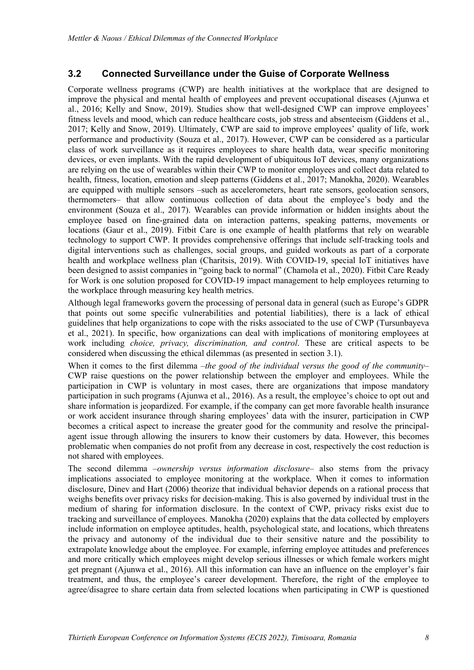#### **3.2 Connected Surveillance under the Guise of Corporate Wellness**

Corporate wellness programs (CWP) are health initiatives at the workplace that are designed to improve the physical and mental health of employees and prevent occupational diseases (Ajunwa et al., 2016; Kelly and Snow, 2019). Studies show that well-designed CWP can improve employees' fitness levels and mood, which can reduce healthcare costs, job stress and absenteeism (Giddens et al., 2017; Kelly and Snow, 2019). Ultimately, CWP are said to improve employees' quality of life, work performance and productivity (Souza et al., 2017). However, CWP can be considered as a particular class of work surveillance as it requires employees to share health data, wear specific monitoring devices, or even implants. With the rapid development of ubiquitous IoT devices, many organizations are relying on the use of wearables within their CWP to monitor employees and collect data related to health, fitness, location, emotion and sleep patterns (Giddens et al., 2017; Manokha, 2020). Wearables are equipped with multiple sensors –such as accelerometers, heart rate sensors, geolocation sensors, thermometers– that allow continuous collection of data about the employee's body and the environment (Souza et al., 2017). Wearables can provide information or hidden insights about the employee based on fine-grained data on interaction patterns, speaking patterns, movements or locations (Gaur et al., 2019). Fitbit Care is one example of health platforms that rely on wearable technology to support CWP. It provides comprehensive offerings that include self-tracking tools and digital interventions such as challenges, social groups, and guided workouts as part of a corporate health and workplace wellness plan (Charitsis, 2019). With COVID-19, special IoT initiatives have been designed to assist companies in "going back to normal" (Chamola et al., 2020). Fitbit Care Ready for Work is one solution proposed for COVID-19 impact management to help employees returning to the workplace through measuring key health metrics.

Although legal frameworks govern the processing of personal data in general (such as Europe's GDPR that points out some specific vulnerabilities and potential liabilities), there is a lack of ethical guidelines that help organizations to cope with the risks associated to the use of CWP (Tursunbayeva et al., 2021). In specific, how organizations can deal with implications of monitoring employees at work including *choice, privacy, discrimination, and control*. These are critical aspects to be considered when discussing the ethical dilemmas (as presented in section 3.1).

When it comes to the first dilemma –*the good of the individual versus the good of the community*– CWP raise questions on the power relationship between the employer and employees. While the participation in CWP is voluntary in most cases, there are organizations that impose mandatory participation in such programs (Ajunwa et al., 2016). As a result, the employee's choice to opt out and share information is jeopardized. For example, if the company can get more favorable health insurance or work accident insurance through sharing employees' data with the insurer, participation in CWP becomes a critical aspect to increase the greater good for the community and resolve the principalagent issue through allowing the insurers to know their customers by data. However, this becomes problematic when companies do not profit from any decrease in cost, respectively the cost reduction is not shared with employees.

The second dilemma –*ownership versus information disclosure*– also stems from the privacy implications associated to employee monitoring at the workplace. When it comes to information disclosure, Dinev and Hart (2006) theorize that individual behavior depends on a rational process that weighs benefits over privacy risks for decision-making. This is also governed by individual trust in the medium of sharing for information disclosure. In the context of CWP, privacy risks exist due to tracking and surveillance of employees. Manokha (2020) explains that the data collected by employers include information on employee aptitudes, health, psychological state, and locations, which threatens the privacy and autonomy of the individual due to their sensitive nature and the possibility to extrapolate knowledge about the employee. For example, inferring employee attitudes and preferences and more critically which employees might develop serious illnesses or which female workers might get pregnant (Ajunwa et al., 2016). All this information can have an influence on the employer's fair treatment, and thus, the employee's career development. Therefore, the right of the employee to agree/disagree to share certain data from selected locations when participating in CWP is questioned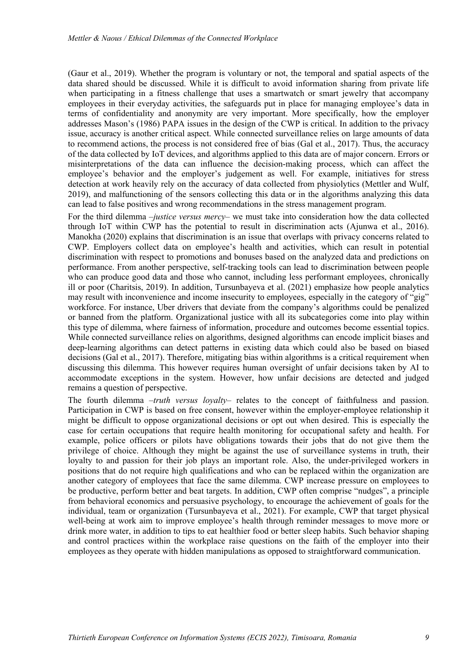(Gaur et al., 2019). Whether the program is voluntary or not, the temporal and spatial aspects of the data shared should be discussed. While it is difficult to avoid information sharing from private life when participating in a fitness challenge that uses a smartwatch or smart jewelry that accompany employees in their everyday activities, the safeguards put in place for managing employee's data in terms of confidentiality and anonymity are very important. More specifically, how the employer addresses Mason's (1986) PAPA issues in the design of the CWP is critical. In addition to the privacy issue, accuracy is another critical aspect. While connected surveillance relies on large amounts of data to recommend actions, the process is not considered free of bias (Gal et al., 2017). Thus, the accuracy of the data collected by IoT devices, and algorithms applied to this data are of major concern. Errors or misinterpretations of the data can influence the decision-making process, which can affect the employee's behavior and the employer's judgement as well. For example, initiatives for stress detection at work heavily rely on the accuracy of data collected from physiolytics (Mettler and Wulf, 2019), and malfunctioning of the sensors collecting this data or in the algorithms analyzing this data can lead to false positives and wrong recommendations in the stress management program.

For the third dilemma –*justice versus mercy*– we must take into consideration how the data collected through IoT within CWP has the potential to result in discrimination acts (Ajunwa et al., 2016). Manokha (2020) explains that discrimination is an issue that overlaps with privacy concerns related to CWP. Employers collect data on employee's health and activities, which can result in potential discrimination with respect to promotions and bonuses based on the analyzed data and predictions on performance. From another perspective, self-tracking tools can lead to discrimination between people who can produce good data and those who cannot, including less performant employees, chronically ill or poor (Charitsis, 2019). In addition, Tursunbayeva et al. (2021) emphasize how people analytics may result with inconvenience and income insecurity to employees, especially in the category of "gig" workforce. For instance, Uber drivers that deviate from the company's algorithms could be penalized or banned from the platform. Organizational justice with all its subcategories come into play within this type of dilemma, where fairness of information, procedure and outcomes become essential topics. While connected surveillance relies on algorithms, designed algorithms can encode implicit biases and deep-learning algorithms can detect patterns in existing data which could also be based on biased decisions (Gal et al., 2017). Therefore, mitigating bias within algorithms is a critical requirement when discussing this dilemma. This however requires human oversight of unfair decisions taken by AI to accommodate exceptions in the system. However, how unfair decisions are detected and judged remains a question of perspective.

The fourth dilemma –*truth versus loyalty*– relates to the concept of faithfulness and passion. Participation in CWP is based on free consent, however within the employer-employee relationship it might be difficult to oppose organizational decisions or opt out when desired. This is especially the case for certain occupations that require health monitoring for occupational safety and health. For example, police officers or pilots have obligations towards their jobs that do not give them the privilege of choice. Although they might be against the use of surveillance systems in truth, their loyalty to and passion for their job plays an important role. Also, the under-privileged workers in positions that do not require high qualifications and who can be replaced within the organization are another category of employees that face the same dilemma. CWP increase pressure on employees to be productive, perform better and beat targets. In addition, CWP often comprise "nudges", a principle from behavioral economics and persuasive psychology, to encourage the achievement of goals for the individual, team or organization (Tursunbayeva et al., 2021). For example, CWP that target physical well-being at work aim to improve employee's health through reminder messages to move more or drink more water, in addition to tips to eat healthier food or better sleep habits. Such behavior shaping and control practices within the workplace raise questions on the faith of the employer into their employees as they operate with hidden manipulations as opposed to straightforward communication.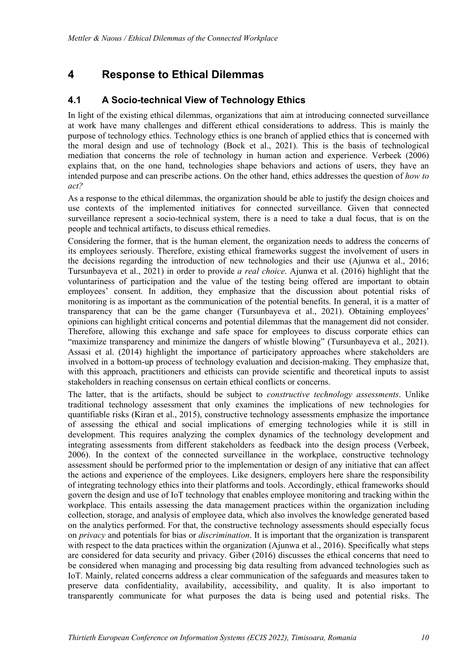## **4 Response to Ethical Dilemmas**

#### **4.1 A Socio-technical View of Technology Ethics**

In light of the existing ethical dilemmas, organizations that aim at introducing connected surveillance at work have many challenges and different ethical considerations to address. This is mainly the purpose of technology ethics. Technology ethics is one branch of applied ethics that is concerned with the moral design and use of technology (Bock et al., 2021). This is the basis of technological mediation that concerns the role of technology in human action and experience. Verbeek (2006) explains that, on the one hand, technologies shape behaviors and actions of users, they have an intended purpose and can prescribe actions. On the other hand, ethics addresses the question of *how to act?* 

As a response to the ethical dilemmas, the organization should be able to justify the design choices and use contexts of the implemented initiatives for connected surveillance. Given that connected surveillance represent a socio-technical system, there is a need to take a dual focus, that is on the people and technical artifacts, to discuss ethical remedies.

Considering the former, that is the human element, the organization needs to address the concerns of its employees seriously. Therefore, existing ethical frameworks suggest the involvement of users in the decisions regarding the introduction of new technologies and their use (Ajunwa et al., 2016; Tursunbayeva et al., 2021) in order to provide *a real choice*. Ajunwa et al. (2016) highlight that the voluntariness of participation and the value of the testing being offered are important to obtain employees' consent. In addition, they emphasize that the discussion about potential risks of monitoring is as important as the communication of the potential benefits. In general, it is a matter of transparency that can be the game changer (Tursunbayeva et al., 2021). Obtaining employees' opinions can highlight critical concerns and potential dilemmas that the management did not consider. Therefore, allowing this exchange and safe space for employees to discuss corporate ethics can "maximize transparency and minimize the dangers of whistle blowing" (Tursunbayeva et al., 2021). Assasi et al. (2014) highlight the importance of participatory approaches where stakeholders are involved in a bottom-up process of technology evaluation and decision-making. They emphasize that, with this approach, practitioners and ethicists can provide scientific and theoretical inputs to assist stakeholders in reaching consensus on certain ethical conflicts or concerns.

The latter, that is the artifacts, should be subject to *constructive technology assessments*. Unlike traditional technology assessment that only examines the implications of new technologies for quantifiable risks (Kiran et al., 2015), constructive technology assessments emphasize the importance of assessing the ethical and social implications of emerging technologies while it is still in development. This requires analyzing the complex dynamics of the technology development and integrating assessments from different stakeholders as feedback into the design process (Verbeek, 2006). In the context of the connected surveillance in the workplace, constructive technology assessment should be performed prior to the implementation or design of any initiative that can affect the actions and experience of the employees. Like designers, employers here share the responsibility of integrating technology ethics into their platforms and tools. Accordingly, ethical frameworks should govern the design and use of IoT technology that enables employee monitoring and tracking within the workplace. This entails assessing the data management practices within the organization including collection, storage, and analysis of employee data, which also involves the knowledge generated based on the analytics performed. For that, the constructive technology assessments should especially focus on *privacy* and potentials for bias or *discrimination*. It is important that the organization is transparent with respect to the data practices within the organization (Ajunwa et al., 2016). Specifically what steps are considered for data security and privacy. Giber (2016) discusses the ethical concerns that need to be considered when managing and processing big data resulting from advanced technologies such as IoT. Mainly, related concerns address a clear communication of the safeguards and measures taken to preserve data confidentiality, availability, accessibility, and quality. It is also important to transparently communicate for what purposes the data is being used and potential risks. The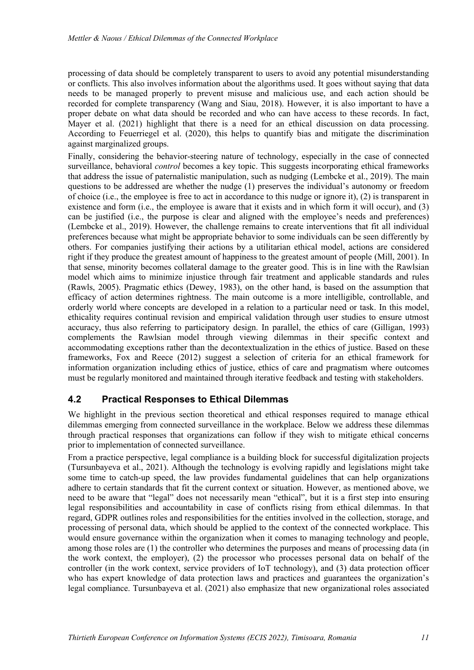processing of data should be completely transparent to users to avoid any potential misunderstanding or conflicts. This also involves information about the algorithms used. It goes without saying that data needs to be managed properly to prevent misuse and malicious use, and each action should be recorded for complete transparency (Wang and Siau, 2018). However, it is also important to have a proper debate on what data should be recorded and who can have access to these records. In fact, Mayer et al. (2021) highlight that there is a need for an ethical discussion on data processing. According to Feuerriegel et al. (2020), this helps to quantify bias and mitigate the discrimination against marginalized groups.

Finally, considering the behavior-steering nature of technology, especially in the case of connected surveillance, behavioral *control* becomes a key topic. This suggests incorporating ethical frameworks that address the issue of paternalistic manipulation, such as nudging (Lembcke et al., 2019). The main questions to be addressed are whether the nudge (1) preserves the individual's autonomy or freedom of choice (i.e., the employee is free to act in accordance to this nudge or ignore it), (2) is transparent in existence and form (i.e., the employee is aware that it exists and in which form it will occur), and (3) can be justified (i.e., the purpose is clear and aligned with the employee's needs and preferences) (Lembcke et al., 2019). However, the challenge remains to create interventions that fit all individual preferences because what might be appropriate behavior to some individuals can be seen differently by others. For companies justifying their actions by a utilitarian ethical model, actions are considered right if they produce the greatest amount of happiness to the greatest amount of people (Mill, 2001). In that sense, minority becomes collateral damage to the greater good. This is in line with the Rawlsian model which aims to minimize injustice through fair treatment and applicable standards and rules (Rawls, 2005). Pragmatic ethics (Dewey, 1983), on the other hand, is based on the assumption that efficacy of action determines rightness. The main outcome is a more intelligible, controllable, and orderly world where concepts are developed in a relation to a particular need or task. In this model, ethicality requires continual revision and empirical validation through user studies to ensure utmost accuracy, thus also referring to participatory design. In parallel, the ethics of care (Gilligan, 1993) complements the Rawlsian model through viewing dilemmas in their specific context and accommodating exceptions rather than the decontextualization in the ethics of justice. Based on these frameworks, Fox and Reece (2012) suggest a selection of criteria for an ethical framework for information organization including ethics of justice, ethics of care and pragmatism where outcomes must be regularly monitored and maintained through iterative feedback and testing with stakeholders.

### **4.2 Practical Responses to Ethical Dilemmas**

We highlight in the previous section theoretical and ethical responses required to manage ethical dilemmas emerging from connected surveillance in the workplace. Below we address these dilemmas through practical responses that organizations can follow if they wish to mitigate ethical concerns prior to implementation of connected surveillance.

From a practice perspective, legal compliance is a building block for successful digitalization projects (Tursunbayeva et al., 2021). Although the technology is evolving rapidly and legislations might take some time to catch-up speed, the law provides fundamental guidelines that can help organizations adhere to certain standards that fit the current context or situation. However, as mentioned above, we need to be aware that "legal" does not necessarily mean "ethical", but it is a first step into ensuring legal responsibilities and accountability in case of conflicts rising from ethical dilemmas. In that regard, GDPR outlines roles and responsibilities for the entities involved in the collection, storage, and processing of personal data, which should be applied to the context of the connected workplace. This would ensure governance within the organization when it comes to managing technology and people, among those roles are (1) the controller who determines the purposes and means of processing data (in the work context, the employer), (2) the processor who processes personal data on behalf of the controller (in the work context, service providers of IoT technology), and (3) data protection officer who has expert knowledge of data protection laws and practices and guarantees the organization's legal compliance. Tursunbayeva et al. (2021) also emphasize that new organizational roles associated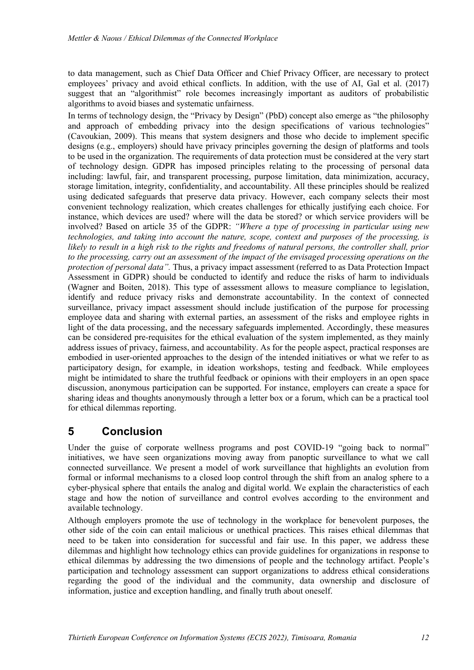to data management, such as Chief Data Officer and Chief Privacy Officer, are necessary to protect employees' privacy and avoid ethical conflicts. In addition, with the use of AI, Gal et al. (2017) suggest that an "algorithmist" role becomes increasingly important as auditors of probabilistic algorithms to avoid biases and systematic unfairness.

In terms of technology design, the "Privacy by Design" (PbD) concept also emerge as "the philosophy and approach of embedding privacy into the design specifications of various technologies" (Cavoukian, 2009). This means that system designers and those who decide to implement specific designs (e.g., employers) should have privacy principles governing the design of platforms and tools to be used in the organization. The requirements of data protection must be considered at the very start of technology design. GDPR has imposed principles relating to the processing of personal data including: lawful, fair, and transparent processing, purpose limitation, data minimization, accuracy, storage limitation, integrity, confidentiality, and accountability. All these principles should be realized using dedicated safeguards that preserve data privacy. However, each company selects their most convenient technology realization, which creates challenges for ethically justifying each choice. For instance, which devices are used? where will the data be stored? or which service providers will be involved? Based on article 35 of the GDPR: *"Where a type of processing in particular using new technologies, and taking into account the nature, scope, context and purposes of the processing, is likely to result in a high risk to the rights and freedoms of natural persons, the controller shall, prior to the processing, carry out an assessment of the impact of the envisaged processing operations on the protection of personal data".* Thus, a privacy impact assessment (referred to as Data Protection Impact Assessment in GDPR) should be conducted to identify and reduce the risks of harm to individuals (Wagner and Boiten, 2018). This type of assessment allows to measure compliance to legislation, identify and reduce privacy risks and demonstrate accountability. In the context of connected surveillance, privacy impact assessment should include justification of the purpose for processing employee data and sharing with external parties, an assessment of the risks and employee rights in light of the data processing, and the necessary safeguards implemented. Accordingly, these measures can be considered pre-requisites for the ethical evaluation of the system implemented, as they mainly address issues of privacy, fairness, and accountability. As for the people aspect, practical responses are embodied in user-oriented approaches to the design of the intended initiatives or what we refer to as participatory design, for example, in ideation workshops, testing and feedback. While employees might be intimidated to share the truthful feedback or opinions with their employers in an open space discussion, anonymous participation can be supported. For instance, employers can create a space for sharing ideas and thoughts anonymously through a letter box or a forum, which can be a practical tool for ethical dilemmas reporting.

### **5 Conclusion**

Under the guise of corporate wellness programs and post COVID-19 "going back to normal" initiatives, we have seen organizations moving away from panoptic surveillance to what we call connected surveillance. We present a model of work surveillance that highlights an evolution from formal or informal mechanisms to a closed loop control through the shift from an analog sphere to a cyber-physical sphere that entails the analog and digital world. We explain the characteristics of each stage and how the notion of surveillance and control evolves according to the environment and available technology.

Although employers promote the use of technology in the workplace for benevolent purposes, the other side of the coin can entail malicious or unethical practices. This raises ethical dilemmas that need to be taken into consideration for successful and fair use. In this paper, we address these dilemmas and highlight how technology ethics can provide guidelines for organizations in response to ethical dilemmas by addressing the two dimensions of people and the technology artifact. People's participation and technology assessment can support organizations to address ethical considerations regarding the good of the individual and the community, data ownership and disclosure of information, justice and exception handling, and finally truth about oneself.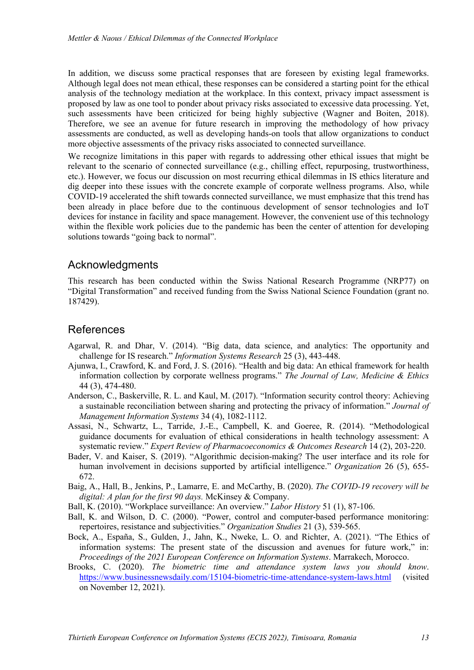In addition, we discuss some practical responses that are foreseen by existing legal frameworks. Although legal does not mean ethical, these responses can be considered a starting point for the ethical analysis of the technology mediation at the workplace. In this context, privacy impact assessment is proposed by law as one tool to ponder about privacy risks associated to excessive data processing. Yet, such assessments have been criticized for being highly subjective (Wagner and Boiten, 2018). Therefore, we see an avenue for future research in improving the methodology of how privacy assessments are conducted, as well as developing hands-on tools that allow organizations to conduct more objective assessments of the privacy risks associated to connected surveillance.

We recognize limitations in this paper with regards to addressing other ethical issues that might be relevant to the scenario of connected surveillance (e.g., chilling effect, repurposing, trustworthiness, etc.). However, we focus our discussion on most recurring ethical dilemmas in IS ethics literature and dig deeper into these issues with the concrete example of corporate wellness programs. Also, while COVID-19 accelerated the shift towards connected surveillance, we must emphasize that this trend has been already in place before due to the continuous development of sensor technologies and IoT devices for instance in facility and space management. However, the convenient use of this technology within the flexible work policies due to the pandemic has been the center of attention for developing solutions towards "going back to normal".

#### Acknowledgments

This research has been conducted within the Swiss National Research Programme (NRP77) on "Digital Transformation" and received funding from the Swiss National Science Foundation (grant no. 187429).

### References

- Agarwal, R. and Dhar, V. (2014). "Big data, data science, and analytics: The opportunity and challenge for IS research." *Information Systems Research* 25 (3), 443-448.
- Ajunwa, I., Crawford, K. and Ford, J. S. (2016). "Health and big data: An ethical framework for health information collection by corporate wellness programs." *The Journal of Law, Medicine & Ethics* 44 (3), 474-480.
- Anderson, C., Baskerville, R. L. and Kaul, M. (2017). "Information security control theory: Achieving a sustainable reconciliation between sharing and protecting the privacy of information." *Journal of Management Information Systems* 34 (4), 1082-1112.
- Assasi, N., Schwartz, L., Tarride, J.-E., Campbell, K. and Goeree, R. (2014). "Methodological guidance documents for evaluation of ethical considerations in health technology assessment: A systematic review." *Expert Review of Pharmacoeconomics & Outcomes Research* 14 (2), 203-220.
- Bader, V. and Kaiser, S. (2019). "Algorithmic decision-making? The user interface and its role for human involvement in decisions supported by artificial intelligence." *Organization* 26 (5), 655- 672.
- Baig, A., Hall, B., Jenkins, P., Lamarre, E. and McCarthy, B. (2020). *The COVID-19 recovery will be digital: A plan for the first 90 days.* McKinsey & Company.
- Ball, K. (2010). "Workplace surveillance: An overview." *Labor History* 51 (1), 87-106.
- Ball, K. and Wilson, D. C. (2000). "Power, control and computer-based performance monitoring: repertoires, resistance and subjectivities." *Organization Studies* 21 (3), 539-565.
- Bock, A., España, S., Gulden, J., Jahn, K., Nweke, L. O. and Richter, A. (2021). "The Ethics of information systems: The present state of the discussion and avenues for future work," in: *Proceedings of the 2021 European Conference on Information Systems*. Marrakech, Morocco.
- Brooks, C. (2020). *The biometric time and attendance system laws you should know*. https://www.businessnewsdaily.com/15104-biometric-time-attendance-system-laws.html (visited on November 12, 2021).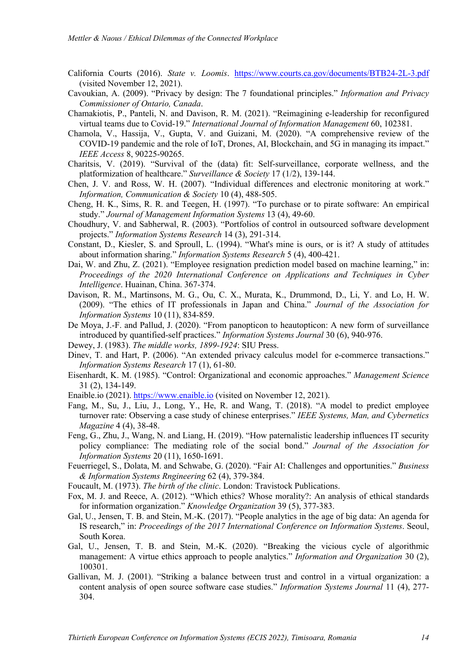- California Courts (2016). *State v. Loomis*. https://www.courts.ca.gov/documents/BTB24-2L-3.pdf (visited November 12, 2021).
- Cavoukian, A. (2009). "Privacy by design: The 7 foundational principles." *Information and Privacy Commissioner of Ontario, Canada*.
- Chamakiotis, P., Panteli, N. and Davison, R. M. (2021). "Reimagining e-leadership for reconfigured virtual teams due to Covid-19." *International Journal of Information Management* 60, 102381.
- Chamola, V., Hassija, V., Gupta, V. and Guizani, M. (2020). "A comprehensive review of the COVID-19 pandemic and the role of IoT, Drones, AI, Blockchain, and 5G in managing its impact." *IEEE Access* 8, 90225-90265.
- Charitsis, V. (2019). "Survival of the (data) fit: Self-surveillance, corporate wellness, and the platformization of healthcare." *Surveillance & Society* 17 (1/2), 139-144.
- Chen, J. V. and Ross, W. H. (2007). "Individual differences and electronic monitoring at work." *Information, Communication & Society* 10 (4), 488-505.
- Cheng, H. K., Sims, R. R. and Teegen, H. (1997). "To purchase or to pirate software: An empirical study." *Journal of Management Information Systems* 13 (4), 49-60.
- Choudhury, V. and Sabherwal, R. (2003). "Portfolios of control in outsourced software development projects." *Information Systems Research* 14 (3), 291-314.
- Constant, D., Kiesler, S. and Sproull, L. (1994). "What's mine is ours, or is it? A study of attitudes about information sharing." *Information Systems Research* 5 (4), 400-421.
- Dai, W. and Zhu, Z. (2021). "Employee resignation prediction model based on machine learning," in: *Proceedings of the 2020 International Conference on Applications and Techniques in Cyber Intelligence*. Huainan, China. 367-374.
- Davison, R. M., Martinsons, M. G., Ou, C. X., Murata, K., Drummond, D., Li, Y. and Lo, H. W. (2009). "The ethics of IT professionals in Japan and China." *Journal of the Association for Information Systems* 10 (11), 834-859.
- De Moya, J.-F. and Pallud, J. (2020). "From panopticon to heautopticon: A new form of surveillance introduced by quantified-self practices." *Information Systems Journal* 30 (6), 940-976.
- Dewey, J. (1983). *The middle works, 1899-1924*: SIU Press.
- Dinev, T. and Hart, P. (2006). "An extended privacy calculus model for e-commerce transactions." *Information Systems Research* 17 (1), 61-80.
- Eisenhardt, K. M. (1985). "Control: Organizational and economic approaches." *Management Science* 31 (2), 134-149.
- Enaible.io (2021). https://www.enaible.io (visited on November 12, 2021).
- Fang, M., Su, J., Liu, J., Long, Y., He, R. and Wang, T. (2018). "A model to predict employee turnover rate: Observing a case study of chinese enterprises." *IEEE Systems, Man, and Cybernetics Magazine* 4 (4), 38-48.
- Feng, G., Zhu, J., Wang, N. and Liang, H. (2019). "How paternalistic leadership influences IT security policy compliance: The mediating role of the social bond." *Journal of the Association for Information Systems* 20 (11), 1650-1691.
- Feuerriegel, S., Dolata, M. and Schwabe, G. (2020). "Fair AI: Challenges and opportunities." *Business & Information Systems Rngineering* 62 (4), 379-384.
- Foucault, M. (1973). *The birth of the clinic*. London: Travistock Publications.
- Fox, M. J. and Reece, A. (2012). "Which ethics? Whose morality?: An analysis of ethical standards for information organization." *Knowledge Organization* 39 (5), 377-383.
- Gal, U., Jensen, T. B. and Stein, M.-K. (2017). "People analytics in the age of big data: An agenda for IS research," in: *Proceedings of the 2017 International Conference on Information Systems*. Seoul, South Korea.
- Gal, U., Jensen, T. B. and Stein, M.-K. (2020). "Breaking the vicious cycle of algorithmic management: A virtue ethics approach to people analytics." *Information and Organization* 30 (2), 100301.
- Gallivan, M. J. (2001). "Striking a balance between trust and control in a virtual organization: a content analysis of open source software case studies." *Information Systems Journal* 11 (4), 277- 304.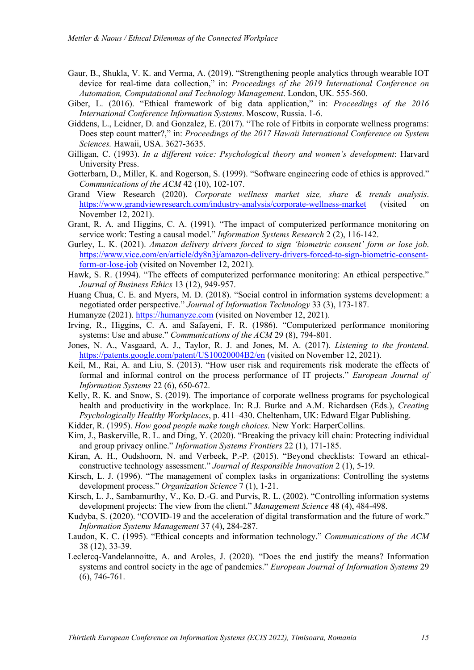- Gaur, B., Shukla, V. K. and Verma, A. (2019). "Strengthening people analytics through wearable IOT device for real-time data collection," in: *Proceedings of the 2019 International Conference on Automation, Computational and Technology Management*. London, UK. 555-560.
- Giber, L. (2016). "Ethical framework of big data application," in: *Proceedings of the 2016 International Conference Information Systems*. Moscow, Russia. 1-6.
- Giddens, L., Leidner, D. and Gonzalez, E. (2017). "The role of Fitbits in corporate wellness programs: Does step count matter?," in: *Proceedings of the 2017 Hawaii International Conference on System Sciences.* Hawaii, USA. 3627-3635.
- Gilligan, C. (1993). *In a different voice: Psychological theory and women's development*: Harvard University Press.
- Gotterbarn, D., Miller, K. and Rogerson, S. (1999). "Software engineering code of ethics is approved." *Communications of the ACM* 42 (10), 102-107.
- Grand View Research (2020). *Corporate wellness market size, share & trends analysis*. https://www.grandviewresearch.com/industry-analysis/corporate-wellness-market (visited on November 12, 2021).
- Grant, R. A. and Higgins, C. A. (1991). "The impact of computerized performance monitoring on service work: Testing a causal model." *Information Systems Research* 2 (2), 116-142.
- Gurley, L. K. (2021). *Amazon delivery drivers forced to sign 'biometric consent' form or lose job*. https://www.vice.com/en/article/dy8n3j/amazon-delivery-drivers-forced-to-sign-biometric-consentform-or-lose-job (visited on November 12, 2021).
- Hawk, S. R. (1994). "The effects of computerized performance monitoring: An ethical perspective." *Journal of Business Ethics* 13 (12), 949-957.
- Huang Chua, C. E. and Myers, M. D. (2018). "Social control in information systems development: a negotiated order perspective." *Journal of Information Technology* 33 (3), 173-187.
- Humanyze (2021). https://humanyze.com (visited on November 12, 2021).
- Irving, R., Higgins, C. A. and Safayeni, F. R. (1986). "Computerized performance monitoring systems: Use and abuse." *Communications of the ACM* 29 (8), 794-801.
- Jones, N. A., Vasgaard, A. J., Taylor, R. J. and Jones, M. A. (2017). *Listening to the frontend*. https://patents.google.com/patent/US10020004B2/en (visited on November 12, 2021).
- Keil, M., Rai, A. and Liu, S. (2013). "How user risk and requirements risk moderate the effects of formal and informal control on the process performance of IT projects." *European Journal of Information Systems* 22 (6), 650-672.
- Kelly, R. K. and Snow, S. (2019). The importance of corporate wellness programs for psychological health and productivity in the workplace. In: R.J. Burke and A.M. Richardsen (Eds.), *Creating Psychologically Healthy Workplaces*, p. 411–430. Cheltenham, UK: Edward Elgar Publishing.
- Kidder, R. (1995). *How good people make tough choices*. New York: HarperCollins.
- Kim, J., Baskerville, R. L. and Ding, Y. (2020). "Breaking the privacy kill chain: Protecting individual and group privacy online." *Information Systems Frontiers* 22 (1), 171-185.
- Kiran, A. H., Oudshoorn, N. and Verbeek, P.-P. (2015). "Beyond checklists: Toward an ethicalconstructive technology assessment." *Journal of Responsible Innovation* 2 (1), 5-19.
- Kirsch, L. J. (1996). "The management of complex tasks in organizations: Controlling the systems development process." *Organization Science* 7 (1), 1-21.
- Kirsch, L. J., Sambamurthy, V., Ko, D.-G. and Purvis, R. L. (2002). "Controlling information systems development projects: The view from the client." *Management Science* 48 (4), 484-498.
- Kudyba, S. (2020). "COVID-19 and the acceleration of digital transformation and the future of work." *Information Systems Management* 37 (4), 284-287.
- Laudon, K. C. (1995). "Ethical concepts and information technology." *Communications of the ACM* 38 (12), 33-39.
- Leclercq-Vandelannoitte, A. and Aroles, J. (2020). "Does the end justify the means? Information systems and control society in the age of pandemics." *European Journal of Information Systems* 29 (6), 746-761.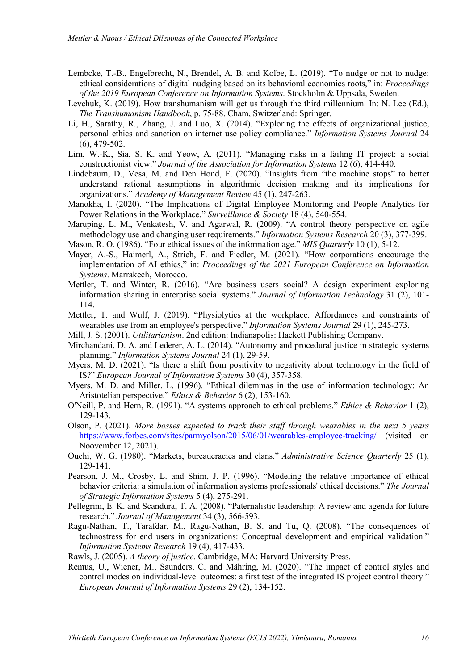- Lembcke, T.-B., Engelbrecht, N., Brendel, A. B. and Kolbe, L. (2019). "To nudge or not to nudge: ethical considerations of digital nudging based on its behavioral economics roots," in: *Proceedings of the 2019 European Conference on Information Systems*. Stockholm & Uppsala, Sweden.
- Levchuk, K. (2019). How transhumanism will get us through the third millennium. In: N. Lee (Ed.), *The Transhumanism Handbook*, p. 75-88. Cham, Switzerland: Springer.
- Li, H., Sarathy, R., Zhang, J. and Luo, X. (2014). "Exploring the effects of organizational justice, personal ethics and sanction on internet use policy compliance." *Information Systems Journal* 24 (6), 479-502.
- Lim, W.-K., Sia, S. K. and Yeow, A. (2011). "Managing risks in a failing IT project: a social constructionist view." *Journal of the Association for Information Systems* 12 (6), 414-440.
- Lindebaum, D., Vesa, M. and Den Hond, F. (2020). "Insights from "the machine stops" to better understand rational assumptions in algorithmic decision making and its implications for organizations." *Academy of Management Review* 45 (1), 247-263.
- Manokha, I. (2020). "The Implications of Digital Employee Monitoring and People Analytics for Power Relations in the Workplace." *Surveillance & Society* 18 (4), 540-554.
- Maruping, L. M., Venkatesh, V. and Agarwal, R. (2009). "A control theory perspective on agile methodology use and changing user requirements." *Information Systems Research* 20 (3), 377-399.
- Mason, R. O. (1986). "Four ethical issues of the information age." *MIS Quarterly* 10 (1), 5-12.
- Mayer, A.-S., Haimerl, A., Strich, F. and Fiedler, M. (2021). "How corporations encourage the implementation of AI ethics," in: *Proceedings of the 2021 European Conference on Information Systems*. Marrakech, Morocco.
- Mettler, T. and Winter, R. (2016). "Are business users social? A design experiment exploring information sharing in enterprise social systems." *Journal of Information Technology* 31 (2), 101- 114.
- Mettler, T. and Wulf, J. (2019). "Physiolytics at the workplace: Affordances and constraints of wearables use from an employee's perspective." *Information Systems Journal* 29 (1), 245-273.
- Mill, J. S. (2001). *Utilitarianism*. 2nd edition: Indianapolis: Hackett Publishing Company.
- Mirchandani, D. A. and Lederer, A. L. (2014). "Autonomy and procedural justice in strategic systems planning." *Information Systems Journal* 24 (1), 29-59.
- Myers, M. D. (2021). "Is there a shift from positivity to negativity about technology in the field of IS?" *European Journal of Information Systems* 30 (4), 357-358.
- Myers, M. D. and Miller, L. (1996). "Ethical dilemmas in the use of information technology: An Aristotelian perspective." *Ethics & Behavior* 6 (2), 153-160.
- O'Neill, P. and Hern, R. (1991). "A systems approach to ethical problems." *Ethics & Behavior* 1 (2), 129-143.
- Olson, P. (2021). *More bosses expected to track their staff through wearables in the next 5 years*  https://www.forbes.com/sites/parmyolson/2015/06/01/wearables-employee-tracking/ (visited on Noovember 12, 2021).
- Ouchi, W. G. (1980). "Markets, bureaucracies and clans." *Administrative Science Quarterly* 25 (1), 129-141.
- Pearson, J. M., Crosby, L. and Shim, J. P. (1996). "Modeling the relative importance of ethical behavior criteria: a simulation of information systems professionals' ethical decisions." *The Journal of Strategic Information Systems* 5 (4), 275-291.
- Pellegrini, E. K. and Scandura, T. A. (2008). "Paternalistic leadership: A review and agenda for future research." *Journal of Management* 34 (3), 566-593.
- Ragu-Nathan, T., Tarafdar, M., Ragu-Nathan, B. S. and Tu, Q. (2008). "The consequences of technostress for end users in organizations: Conceptual development and empirical validation." *Information Systems Research* 19 (4), 417-433.
- Rawls, J. (2005). *A theory of justice*. Cambridge, MA: Harvard University Press.
- Remus, U., Wiener, M., Saunders, C. and Mähring, M. (2020). "The impact of control styles and control modes on individual-level outcomes: a first test of the integrated IS project control theory." *European Journal of Information Systems* 29 (2), 134-152.